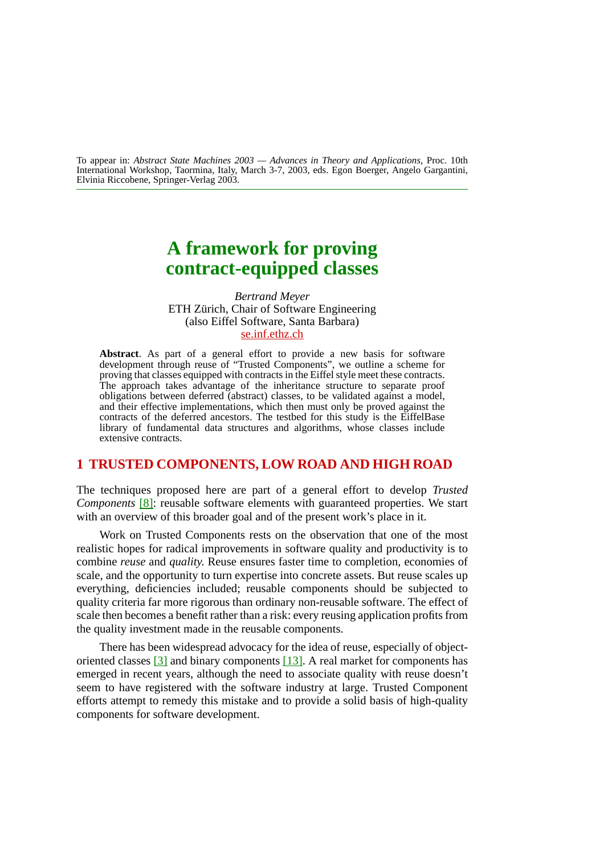To appear in: *Abstract State Machines 2003 — Advances in Theory and Applications*, Proc. 10th International Workshop, Taormina, Italy, March 3-7, 2003, eds. Egon Boerger, Angelo Gargantini, Elvinia Riccobene, Springer-Verlag 2003.

# **A framework for proving contract-equipped classes**

*Bertrand Meyer* ETH Zürich, Chair of Software Engineering (also Eiffel Software, Santa Barbara) [se.inf.ethz.ch](http://se.inf.ethz.ch)

**Abstract**. As part of a general effort to provide a new basis for software development through reuse of "Trusted Components", we outline a scheme for proving that classes equipped with contracts in the Eiffel style meet these contracts. The approach takes advantage of the inheritance structure to separate proof obligations between deferred (abstract) classes, to be validated against a model, and their effective implementations, which then must only be proved against the contracts of the deferred ancestors. The testbed for this study is the EiffelBase library of fundamental data structures and algorithms, whose classes include extensive contracts.

### **1 TRUSTED COMPONENTS, LOW ROAD AND HIGH ROAD**

The techniques proposed here are part of a general effort to develop *Trusted Components* [\[8\]:](#page-17-0) reusable software elements with guaranteed properties. We start with an overview of this broader goal and of the present work's place in it.

Work on Trusted Components rests on the observation that one of the most realistic hopes for radical improvements in software quality and productivity is to combine *reuse* and *quality*. Reuse ensures faster time to completion, economies of scale, and the opportunity to turn expertise into concrete assets. But reuse scales up everything, deficiencies included; reusable components should be subjected to quality criteria far more rigorous than ordinary non-reusable software. The effect of scale then becomes a benefit rather than a risk: every reusing application profits from the quality investment made in the reusable components.

There has been widespread advocacy for the idea of reuse, especially of objectoriented classes [\[3\]](#page-17-1) and binary components [\[13\]](#page-18-0). A real market for components has emerged in recent years, although the need to associate quality with reuse doesn't seem to have registered with the software industry at large. Trusted Component efforts attempt to remedy this mistake and to provide a solid basis of high-quality components for software development.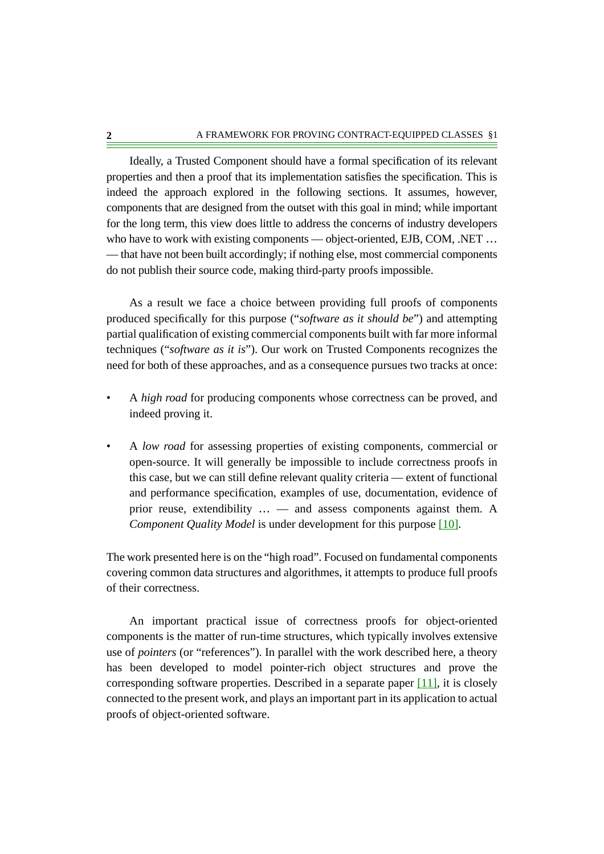Ideally, a Trusted Component should have a formal specification of its relevant properties and then a proof that its implementation satisfies the specification. This is indeed the approach explored in the following sections. It assumes, however, components that are designed from the outset with this goal in mind; while important for the long term, this view does little to address the concerns of industry developers who have to work with existing components — object-oriented, EJB, COM, .NET ... — that have not been built accordingly; if nothing else, most commercial components do not publish their source code, making third-party proofs impossible.

As a result we face a choice between providing full proofs of components produced specifically for this purpose ("*software as it should be*") and attempting partial qualification of existing commercial components built with far more informal techniques ("*software as it is*"). Our work on Trusted Components recognizes the need for both of these approaches, and as a consequence pursues two tracks at once:

- A *high road* for producing components whose correctness can be proved, and indeed proving it.
- A *low road* for assessing properties of existing components, commercial or open-source. It will generally be impossible to include correctness proofs in this case, but we can still define relevant quality criteria — extent of functional and performance specification, examples of use, documentation, evidence of prior reuse, extendibility … — and assess components against them. A *Component Quality Model* is under development for this purpose [\[10\]](#page-18-1).

The work presented here is on the "high road". Focused on fundamental components covering common data structures and algorithmes, it attempts to produce full proofs of their correctness.

An important practical issue of correctness proofs for object-oriented components is the matter of run-time structures, which typically involves extensive use of *pointers* (or "references"). In parallel with the work described here, a theory has been developed to model pointer-rich object structures and prove the corresponding software properties. Described in a separate paper  $[11]$ , it is closely connected to the present work, and plays an important part in its application to actual proofs of object-oriented software.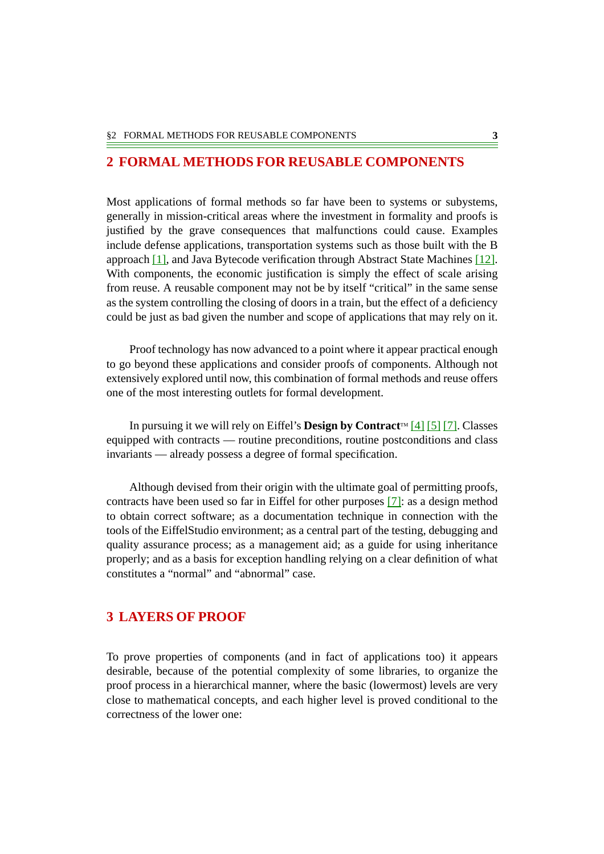### **2 FORMAL METHODS FOR REUSABLE COMPONENTS**

Most applications of formal methods so far have been to systems or subystems, generally in mission-critical areas where the investment in formality and proofs is justified by the grave consequences that malfunctions could cause. Examples include defense applications, transportation systems such as those built with the B approach [\[1\],](#page-17-2) and Java Bytecode verification through Abstract State Machines [\[12\]](#page-18-3). With components, the economic justification is simply the effect of scale arising from reuse. A reusable component may not be by itself "critical" in the same sense as the system controlling the closing of doors in a train, but the effect of a deficiency could be just as bad given the number and scope of applications that may rely on it.

Proof technology has now advanced to a point where it appear practical enough to go beyond these applications and consider proofs of components. Although not extensively explored until now, this combination of formal methods and reuse offers one of the most interesting outlets for formal development.

In pursuing it we will rely on Eiffel's **Design by Contract**  $[4]$  [\[5\]](#page-17-4) [\[7\]](#page-17-5). Classes equipped with contracts — routine preconditions, routine postconditions and class invariants — already possess a degree of formal specification.

Although devised from their origin with the ultimate goal of permitting proofs, contracts have been used so far in Eiffel for other purposes [\[7\]](#page-17-5): as a design method to obtain correct software; as a documentation technique in connection with the tools of the EiffelStudio environment; as a central part of the testing, debugging and quality assurance process; as a management aid; as a guide for using inheritance properly; and as a basis for exception handling relying on a clear definition of what constitutes a "normal" and "abnormal" case.

### **3 LAYERS OF PROOF**

To prove properties of components (and in fact of applications too) it appears desirable, because of the potential complexity of some libraries, to organize the proof process in a hierarchical manner, where the basic (lowermost) levels are very close to mathematical concepts, and each higher level is proved conditional to the correctness of the lower one: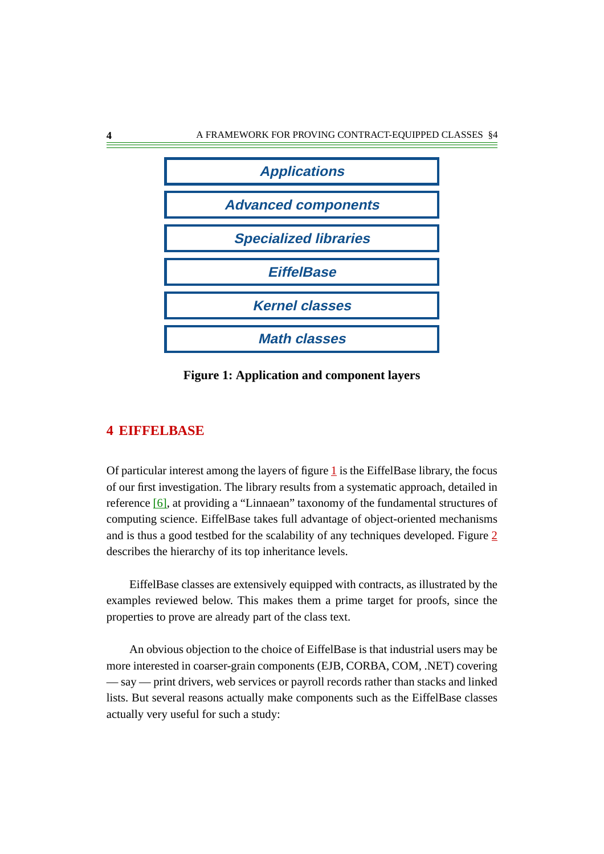

<span id="page-3-0"></span>**Figure 1: Application and component layers**

# **4 EIFFELBASE**

Of particular interest among the layers of figure  $1$  is the EiffelBase library, the focus of our first investigation. The library results from a systematic approach, detailed in reference [\[6\]](#page-17-6), at providing a "Linnaean" taxonomy of the fundamental structures of computing science. EiffelBase takes full advantage of object-oriented mechanisms and is thus a good testbed for the scalability of any techniques developed. Figure  $2$ describes the hierarchy of its top inheritance levels.

EiffelBase classes are extensively equipped with contracts, as illustrated by the examples reviewed below. This makes them a prime target for proofs, since the properties to prove are already part of the class text.

An obvious objection to the choice of EiffelBase is that industrial users may be more interested in coarser-grain components (EJB, CORBA, COM, .NET) covering — say — print drivers, web services or payroll records rather than stacks and linked lists. But several reasons actually make components such as the EiffelBase classes actually very useful for such a study: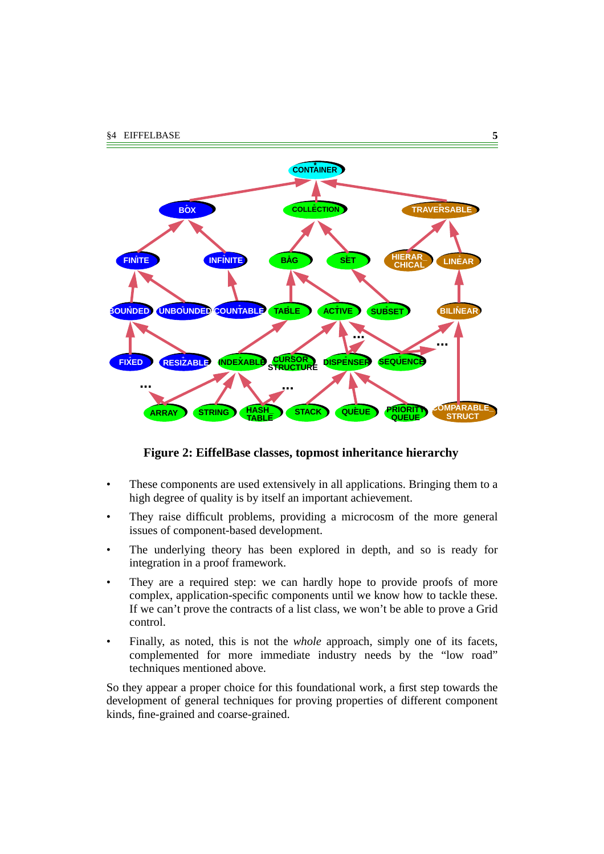

### <span id="page-4-0"></span>**Figure 2: EiffelBase classes, topmost inheritance hierarchy**

- These components are used extensively in all applications. Bringing them to a high degree of quality is by itself an important achievement.
- They raise difficult problems, providing a microcosm of the more general issues of component-based development.
- The underlying theory has been explored in depth, and so is ready for integration in a proof framework.
- They are a required step: we can hardly hope to provide proofs of more complex, application-specific components until we know how to tackle these. If we can't prove the contracts of a list class, we won't be able to prove a Grid control.
- Finally, as noted, this is not the *whole* approach, simply one of its facets, complemented for more immediate industry needs by the "low road" techniques mentioned above.

So they appear a proper choice for this foundational work, a first step towards the development of general techniques for proving properties of different component kinds, fine-grained and coarse-grained.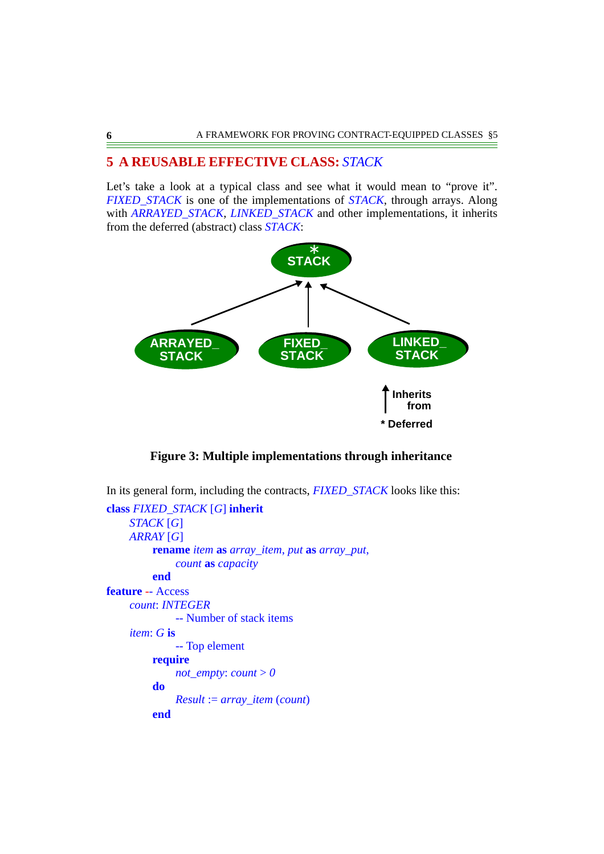### **5 A REUSABLE EFFECTIVE CLASS:** *STACK*

Let's take a look at a typical class and see what it would mean to "prove it". *FIXED\_STACK* is one of the implementations of *STACK*, through arrays. Along with *ARRAYED* STACK, *LINKED* STACK and other implementations, it inherits from the deferred (abstract) class *STACK*:



**Figure 3: Multiple implementations through inheritance**

In its general form, including the contracts, *FIXED\_STACK* looks like this: **class** *FIXED\_STACK* [*G*] **inherit** *STACK* [*G*] *ARRAY* [*G*] **rename** *item* **as** *array\_item*, *put* **as** *array\_put*, *count* **as** *capacity* **end feature** *-*- Access *count*: *INTEGER* -- Number of stack items *item*: *G* **is** -- Top element **require** *not\_empty*: *count*  $> 0$ **do** *Result* := *array\_item* (*count*) **end**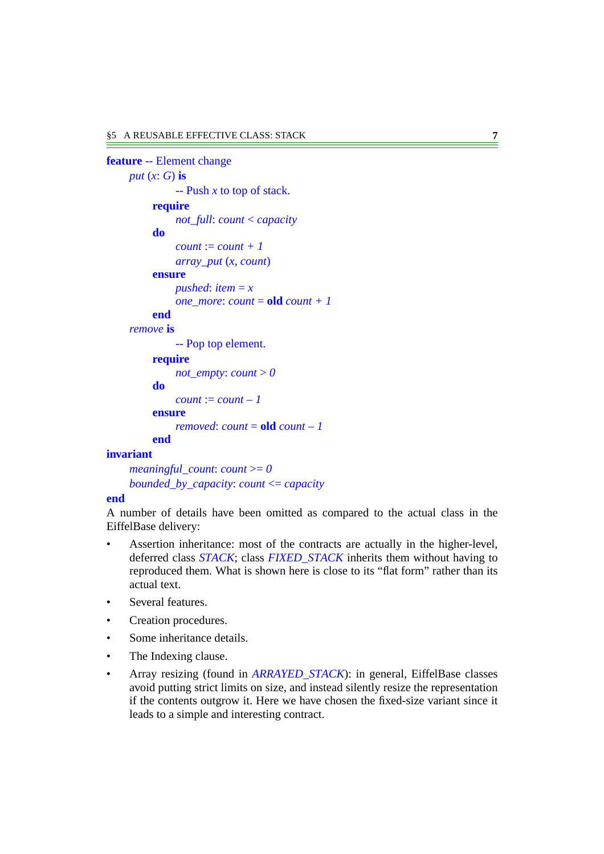### **feature** -- Element change *put* (*x*: *G*) **is** -- Push *x* to top of stack. **require** *not\_full*: *count* < *capacity* **do**  $count := count + 1$ *array\_put* (*x*, *count*) **ensure** *pushed*: *item* =  $\boldsymbol{x}$ *one\_more*: *count* = **old** *count* + 1 **end** *remove* **is** -- Pop top element. **require** *not\_empty*: *count*  $> 0$ **do**  $count := count - 1$ **ensure** *removed*: *count* = **old** *count – 1* **end**

#### **invariant**

```
meaningful_count: count >= 0
bounded_by_capacity: count <= capacity
```
#### **end**

A number of details have been omitted as compared to the actual class in the EiffelBase delivery:

- Assertion inheritance: most of the contracts are actually in the higher-level, deferred class *STACK*; class *FIXED\_STACK* inherits them without having to reproduced them. What is shown here is close to its "flat form" rather than its actual text.
- Several features.
- Creation procedures.
- Some inheritance details.
- The Indexing clause.
- Array resizing (found in *ARRAYED\_STACK*): in general, EiffelBase classes avoid putting strict limits on size, and instead silently resize the representation if the contents outgrow it. Here we have chosen the fixed-size variant since it leads to a simple and interesting contract.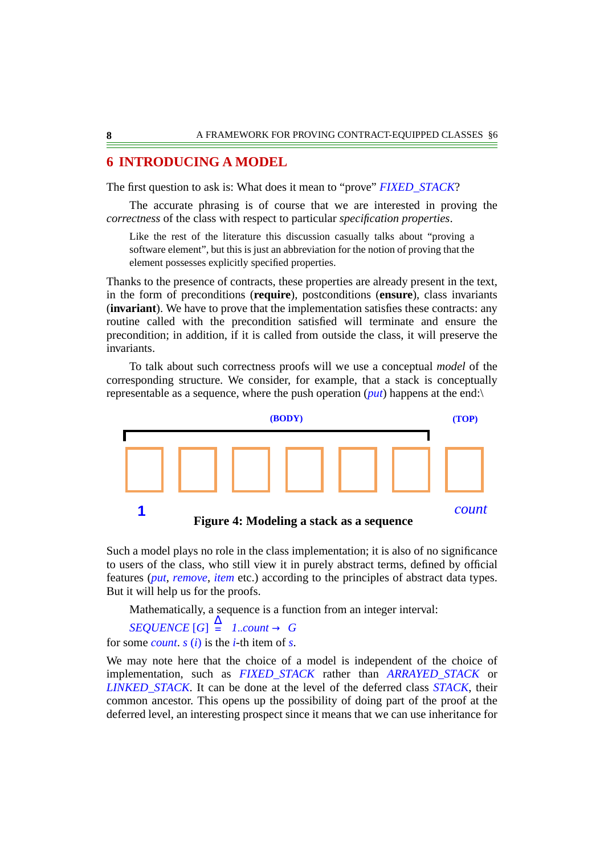### **6 INTRODUCING A MODEL**

The first question to ask is: What does it mean to "prove" *FIXED\_STACK*?

The accurate phrasing is of course that we are interested in proving the *correctness* of the class with respect to particular *specification properties*.

Like the rest of the literature this discussion casually talks about "proving a software element", but this is just an abbreviation for the notion of proving that the element possesses explicitly specified properties.

Thanks to the presence of contracts, these properties are already present in the text, in the form of preconditions (**require**), postconditions (**ensure**), class invariants (**invariant**). We have to prove that the implementation satisfies these contracts: any routine called with the precondition satisfied will terminate and ensure the precondition; in addition, if it is called from outside the class, it will preserve the invariants.

To talk about such correctness proofs will we use a conceptual *model* of the corresponding structure. We consider, for example, that a stack is conceptually representable as a sequence, where the push operation (*put*) happens at the end:\



Such a model plays no role in the class implementation; it is also of no significance to users of the class, who still view it in purely abstract terms, defined by official features (*put*, *remove*, *item* etc.) according to the principles of abstract data types. But it will help us for the proofs.

Mathematically, a sequence is a function from an integer interval:

 $\text{SEQUENCE [G]} \stackrel{\Delta}{=} 1$ ..*count*  $\rightarrow G$ for some *count*. *s* (*i*) is the *i*-th item of *s*.

We may note here that the choice of a model is independent of the choice of implementation, such as *FIXED\_STACK* rather than *ARRAYED\_STACK* or *LINKED\_STACK*. It can be done at the level of the deferred class *STACK*, their common ancestor. This opens up the possibility of doing part of the proof at the deferred level, an interesting prospect since it means that we can use inheritance for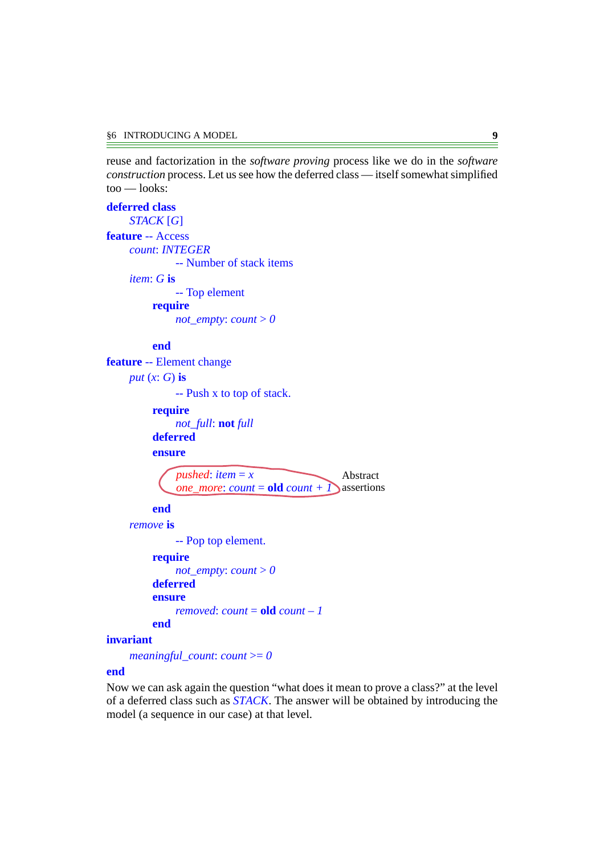reuse and factorization in the *software proving* process like we do in the *software construction* process. Let us see how the deferred class — itself somewhat simplified too — looks:

**deferred class** *STACK* [*G*] **feature** -- Access *count*: *INTEGER* -- Number of stack items *item*: *G* **is** -- Top element **require** *not\_empty*: *count*  $> 0$ 

#### **end**

**feature** -- Element change *put* (*x*: *G*) **is**

-- Push x to top of stack.

**require**

*not\_full*: **not** *full*

**deferred**

**ensure**

$$
pushed: item = x
$$
Abstract  
*one\_more: count* = **old** count + 1) assertions

#### **end**

*remove* **is**

-- Pop top element.

**require**

```
not_empty: count > 0deferred
ensure
    removed: count = old count – 1
end
```
#### **invariant**

```
meaningful_count: count >= 0
```
#### **end**

Now we can ask again the question "what does it mean to prove a class?" at the level of a deferred class such as *STACK*. The answer will be obtained by introducing the model (a sequence in our case) at that level.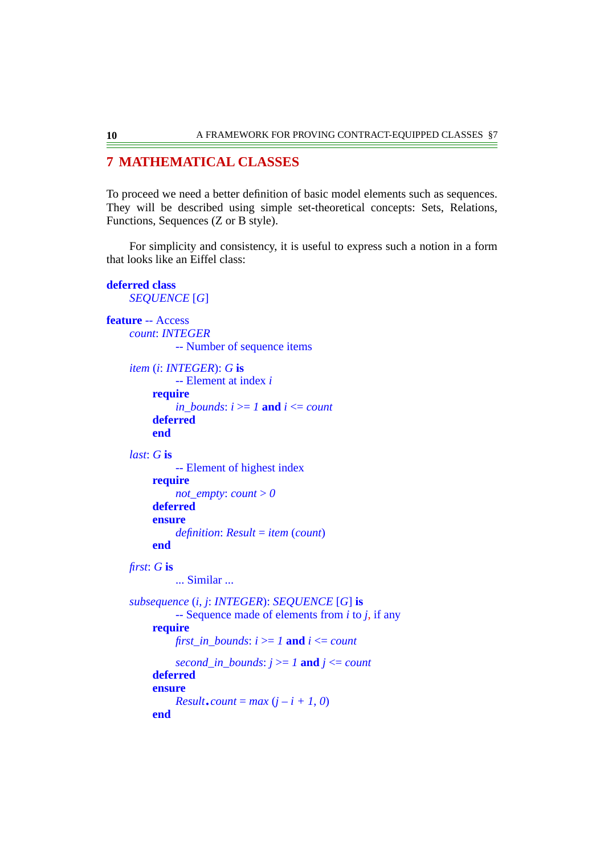# **7 MATHEMATICAL CLASSES**

To proceed we need a better definition of basic model elements such as sequences. They will be described using simple set-theoretical concepts: Sets, Relations, Functions, Sequences (Z or B style).

For simplicity and consistency, it is useful to express such a notion in a form that looks like an Eiffel class:

### **deferred class**

*SEQUENCE* [*G*]

**end**

```
feature -- Access
    count: INTEGER
              -- Number of sequence items
    item (i: INTEGER): G is
              -- Element at index i
         require
              in bounds: i \geq 1 and i \leq count
         deferred
         end
    last: G is
              -- Element of highest index
         require
              not_empty: count > 0deferred
         ensure
              definition: Result = item (count)
         end
    first: G is
              ... Similar ...
    subsequence (i, j: INTEGER): SEQUENCE [G] is
              -- Sequence made of elements from i to j, if any
         require
              first in bounds: i >= 1 and i \le count
              second_in_bounds: j \geq 1 and j \leq count
         deferred
         ensure
              Result.count = max(j - i + 1, 0)
```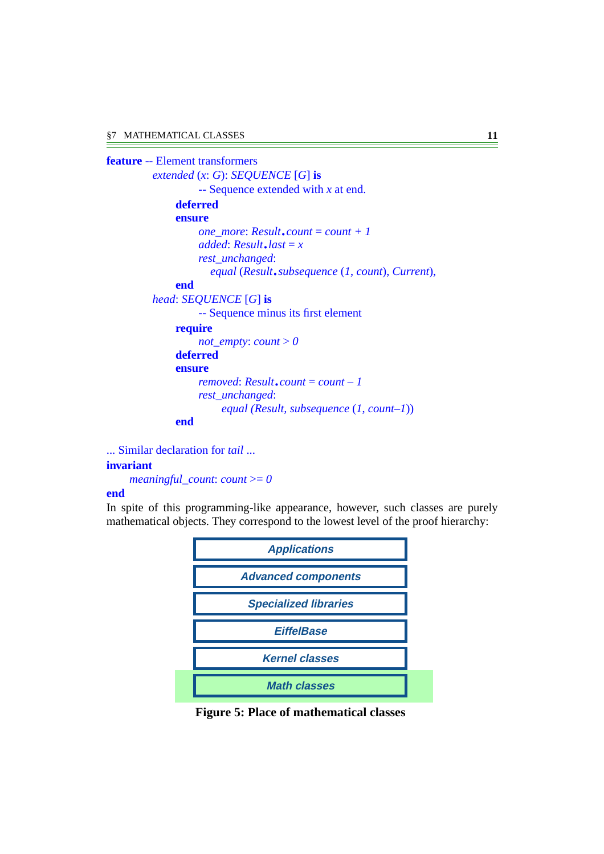```
feature -- Element transformers
         extended (x: G): SEQUENCE [G] is
                  -- Sequence extended with x at end.
              deferred
              ensure
                  one_more: Result.count = count + 1
                  added: Result.last =x
                  rest_unchanged:
                     equal (Result.subsequence (1, count), Current),
              end
         head: SEQUENCE [G] is
                  -- Sequence minus its first element
              require
                  not_empty: count > 0deferred
              ensure
                  removed: Result.count = count – 1
                  rest_unchanged:
                       equal (Result, subsequence (1, count–1))
              end
```
... Similar declaration for *tail* ... **invariant** *meaningful\_count*: *count* >= *0*

#### **end**

In spite of this programming-like appearance, however, such classes are purely mathematical objects. They correspond to the lowest level of the proof hierarchy:



**Figure 5: Place of mathematical classes**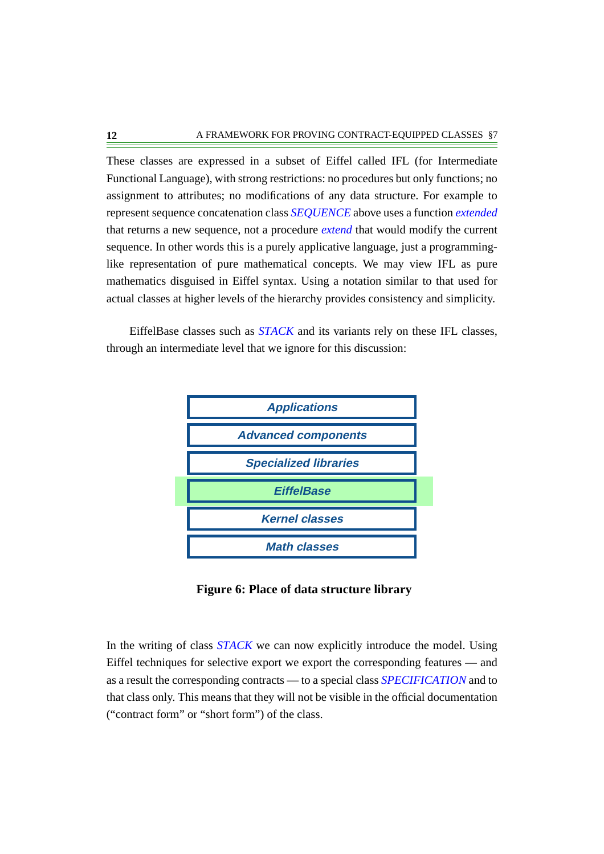These classes are expressed in a subset of Eiffel called IFL (for Intermediate Functional Language), with strong restrictions: no procedures but only functions; no assignment to attributes; no modifications of any data structure. For example to represent sequence concatenation class *SEQUENCE* above uses a function *extended* that returns a new sequence, not a procedure *extend* that would modify the current sequence. In other words this is a purely applicative language, just a programminglike representation of pure mathematical concepts. We may view IFL as pure mathematics disguised in Eiffel syntax. Using a notation similar to that used for actual classes at higher levels of the hierarchy provides consistency and simplicity.

EiffelBase classes such as *STACK* and its variants rely on these IFL classes, through an intermediate level that we ignore for this discussion:



**Figure 6: Place of data structure library**

In the writing of class *STACK* we can now explicitly introduce the model. Using Eiffel techniques for selective export we export the corresponding features — and as a result the corresponding contracts — to a special class *SPECIFICATION* and to that class only. This means that they will not be visible in the official documentation ("contract form" or "short form") of the class.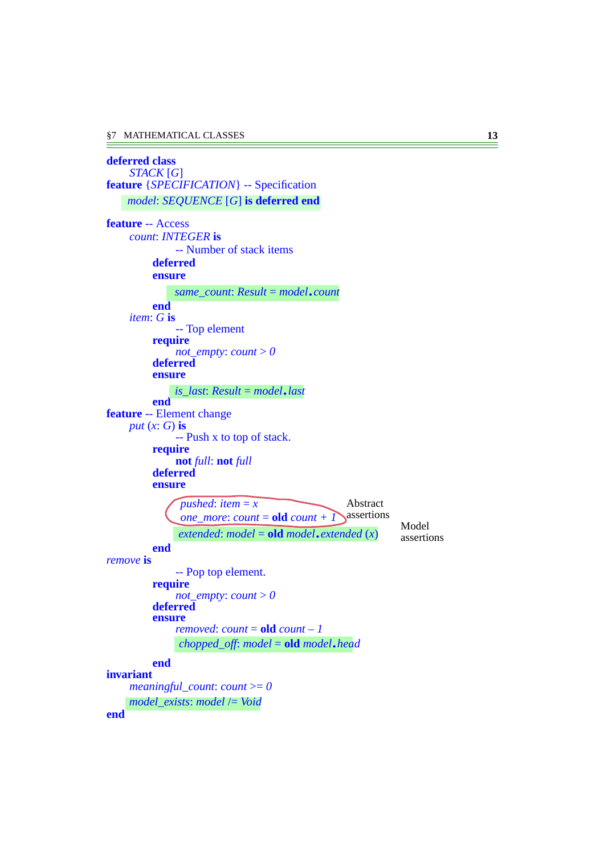**end**

**deferred class** *STACK* [*G*] **feature** {*SPECIFICATION*} -- Specification **feature** -- Access *count*: *INTEGER* **is** -- Number of stack items **deferred ensure end** *item*: *G* **is** -- Top element **require** *not\_empty*: *count*  $> 0$ **deferred ensure end feature** -- Element change *put* (*x*: *G*) **is** -- Push x to top of stack. **require not** *full*: **not** *full* **deferred ensure end** *remove* **is** -- Pop top element. **require** *not\_empty*: *count* > *0* **deferred ensure** *removed*: *count* = **old** *count – 1* **end invariant** *meaningful\_count*: *count* >= *0 model*: *SEQUENCE* [*G*] **is deferred end** *same\_count*: *Result* <sup>=</sup> *model*.*count is\_last*: *Result* <sup>=</sup> *model*.*last*  $p$ *ushed*: *item* = *x one\_more*: *count* = **old** *count* +  $\overline{I}$  $extended: model = old model = red$ Abstract assertions Model assertions *chopped\_off*: *model* <sup>=</sup> **old** *model*.*head model\_exists*: *model* /= *Void*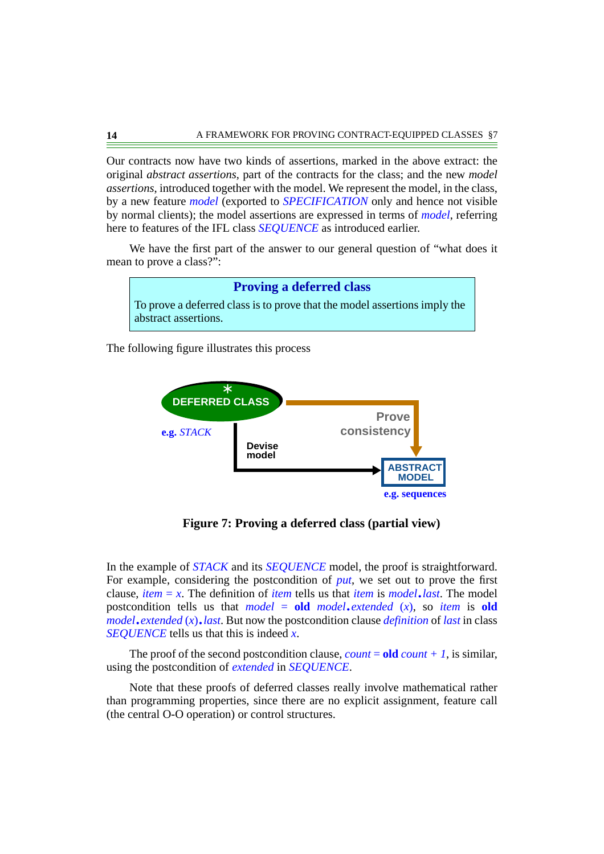Our contracts now have two kinds of assertions, marked in the above extract: the original *abstract assertions*, part of the contracts for the class; and the new *model assertions*, introduced together with the model. We represent the model, in the class, by a new feature *model* (exported to *SPECIFICATION* only and hence not visible by normal clients); the model assertions are expressed in terms of *model*, referring here to features of the IFL class *SEQUENCE* as introduced earlier.

We have the first part of the answer to our general question of "what does it mean to prove a class?":



The following figure illustrates this process



**Figure 7: Proving a deferred class (partial view)**

In the example of *STACK* and its *SEQUENCE* model, the proof is straightforward. For example, considering the postcondition of *put*, we set out to prove the first clause, *item* <sup>=</sup> *<sup>x</sup>*. The definition of *item* tells us that *item* is *model*.*last*. The model postcondition tells us that  $model = old \ model$ . *extended* (*x*), so *item* is old *model*.*extended* (*x*).*last*. But now the postcondition clause *definition* of *last* in class *SEQUENCE* tells us that this is indeed *x*.

The proof of the second postcondition clause, *count* = **old** *count + 1*, is similar, using the postcondition of *extended* in *SEQUENCE*.

Note that these proofs of deferred classes really involve mathematical rather than programming properties, since there are no explicit assignment, feature call (the central O-O operation) or control structures.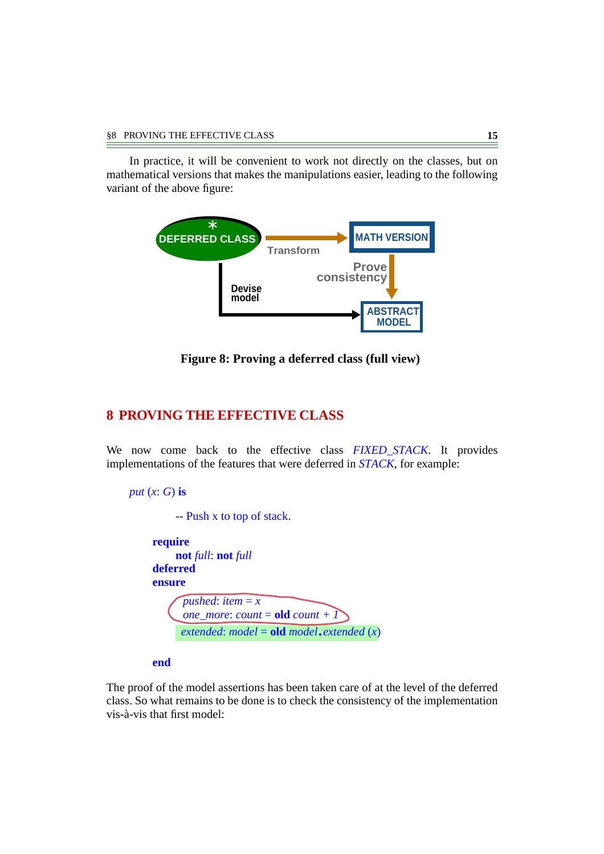In practice, it will be convenient to work not directly on the classes, but on mathematical versions that makes the manipulations easier, leading to the following variant of the above figure:



**Figure 8: Proving a deferred class (full view)**

### **8 PROVING THE EFFECTIVE CLASS**

We now come back to the effective class *FIXED\_STACK*. It provides implementations of the features that were deferred in *STACK*, for example:

```
put (x: G) is
         -- Push x to top of stack.
    require
         not full: not full
    deferred
    ensure
           pushed: item = x
          one_more: count = old count + 1
          extended: model = old model = red
```
**end**

The proof of the model assertions has been taken care of at the level of the deferred class. So what remains to be done is to check the consistency of the implementation vis-à-vis that first model: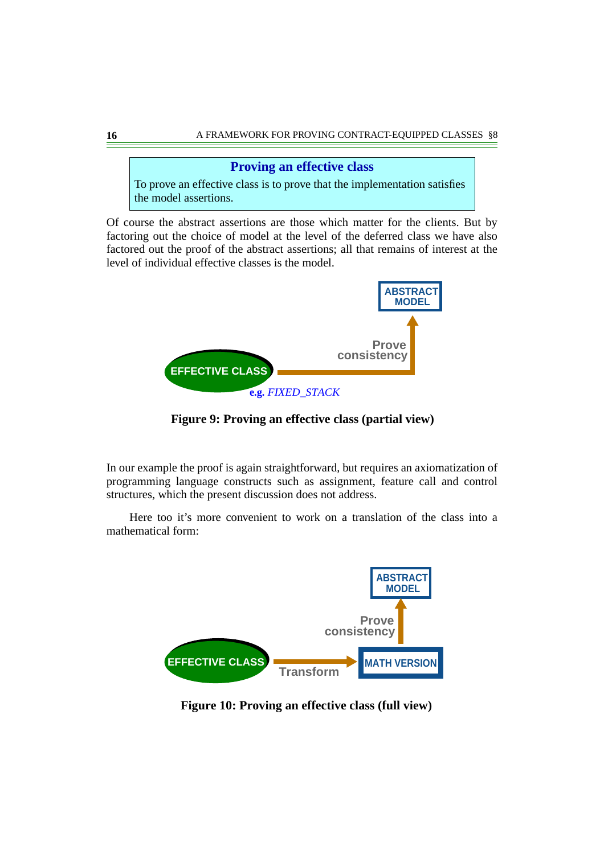### **Proving an effective class**

To prove an effective class is to prove that the implementation satisfies the model assertions.

Of course the abstract assertions are those which matter for the clients. But by factoring out the choice of model at the level of the deferred class we have also factored out the proof of the abstract assertions; all that remains of interest at the level of individual effective classes is the model.



**Figure 9: Proving an effective class (partial view)**

In our example the proof is again straightforward, but requires an axiomatization of programming language constructs such as assignment, feature call and control structures, which the present discussion does not address.

Here too it's more convenient to work on a translation of the class into a mathematical form:



**Figure 10: Proving an effective class (full view)**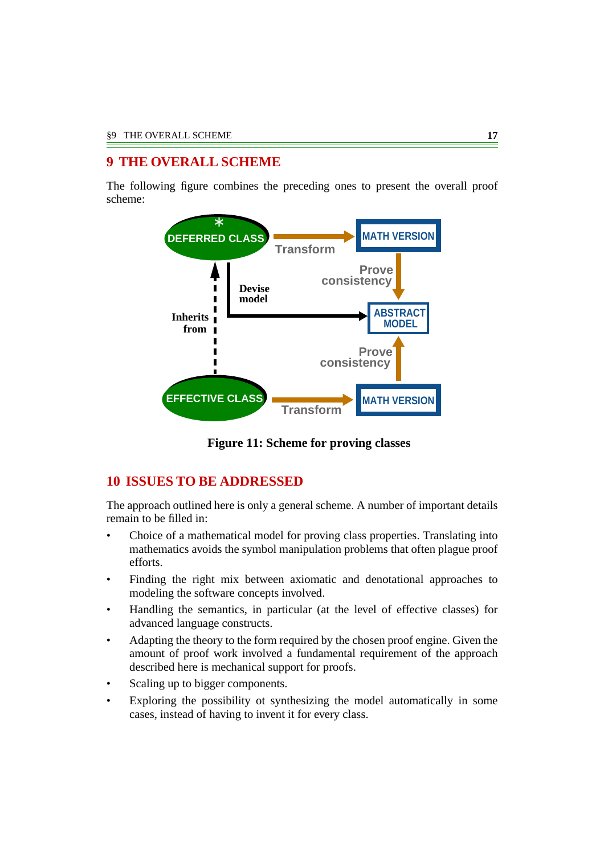# **9 THE OVERALL SCHEME**

The following figure combines the preceding ones to present the overall proof scheme:



**Figure 11: Scheme for proving classes**

# **10 ISSUES TO BE ADDRESSED**

The approach outlined here is only a general scheme. A number of important details remain to be filled in:

- Choice of a mathematical model for proving class properties. Translating into mathematics avoids the symbol manipulation problems that often plague proof efforts.
- Finding the right mix between axiomatic and denotational approaches to modeling the software concepts involved.
- Handling the semantics, in particular (at the level of effective classes) for advanced language constructs.
- Adapting the theory to the form required by the chosen proof engine. Given the amount of proof work involved a fundamental requirement of the approach described here is mechanical support for proofs.
- Scaling up to bigger components.
- Exploring the possibility ot synthesizing the model automatically in some cases, instead of having to invent it for every class.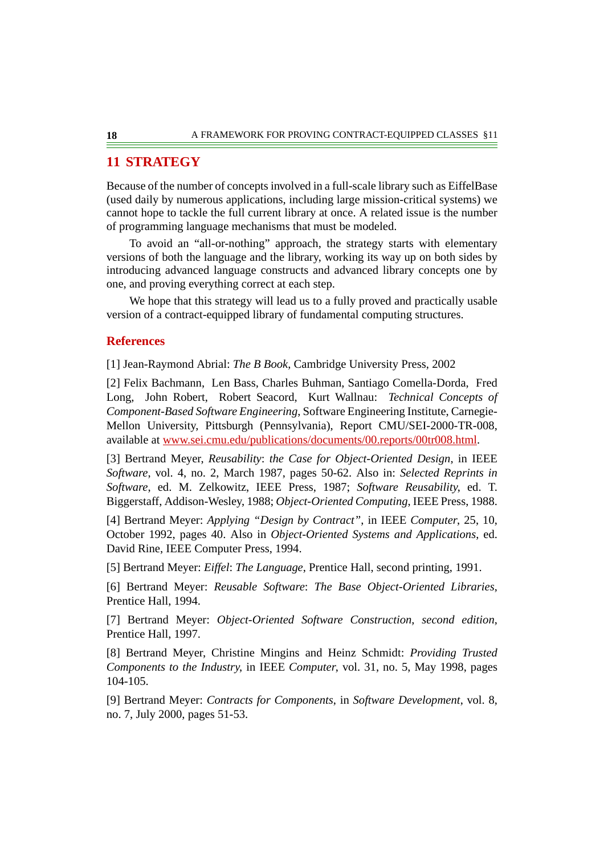# **11 STRATEGY**

Because of the number of concepts involved in a full-scale library such as EiffelBase (used daily by numerous applications, including large mission-critical systems) we cannot hope to tackle the full current library at once. A related issue is the number of programming language mechanisms that must be modeled.

To avoid an "all-or-nothing" approach, the strategy starts with elementary versions of both the language and the library, working its way up on both sides by introducing advanced language constructs and advanced library concepts one by one, and proving everything correct at each step.

We hope that this strategy will lead us to a fully proved and practically usable version of a contract-equipped library of fundamental computing structures.

### **References**

<span id="page-17-2"></span>[1] Jean-Raymond Abrial: *The B Book*, Cambridge University Press, 2002

[2] Felix Bachmann, Len Bass, Charles Buhman, Santiago Comella-Dorda, Fred Long, John Robert, Robert Seacord, Kurt Wallnau: *Technical Concepts of Component-Based Software Engineering*, Software Engineering Institute, Carnegie-Mellon University, Pittsburgh (Pennsylvania), Report CMU/SEI-2000-TR-008, available at [www.sei.cmu.edu/publications/documents/00.reports/00tr008.html.](http://www.sei.cmu.edu/publications/documents/00.reports/00tr008.html)

<span id="page-17-1"></span>[3] Bertrand Meyer, *Reusability*: *the Case for Object-Oriented Design*, in IEEE *Software*, vol. 4, no. 2, March 1987, pages 50-62. Also in: *Selected Reprints in Software*, ed. M. Zelkowitz, IEEE Press, 1987; *Software Reusability*, ed. T. Biggerstaff, Addison-Wesley, 1988; *Object-Oriented Computing*, IEEE Press, 1988.

<span id="page-17-3"></span>[4] Bertrand Meyer: *Applying "Design by Contract"*, in IEEE *Computer*, 25, 10, October 1992, pages 40. Also in *Object-Oriented Systems and Applications*, ed. David Rine, IEEE Computer Press, 1994.

<span id="page-17-4"></span>[5] Bertrand Meyer: *Eiffel*: *The Language*, Prentice Hall, second printing, 1991.

<span id="page-17-6"></span>[6] Bertrand Meyer: *Reusable Software*: *The Base Object-Oriented Libraries*, Prentice Hall, 1994.

<span id="page-17-5"></span>[7] Bertrand Meyer: *Object-Oriented Software Construction*, *second edition*, Prentice Hall, 1997.

<span id="page-17-0"></span>[8] Bertrand Meyer, Christine Mingins and Heinz Schmidt: *Providing Trusted Components to the Industry*, in IEEE *Computer*, vol. 31, no. 5, May 1998, pages 104-105.

[9] Bertrand Meyer: *Contracts for Components*, in *Software Development*, vol. 8, no. 7, July 2000, pages 51-53.